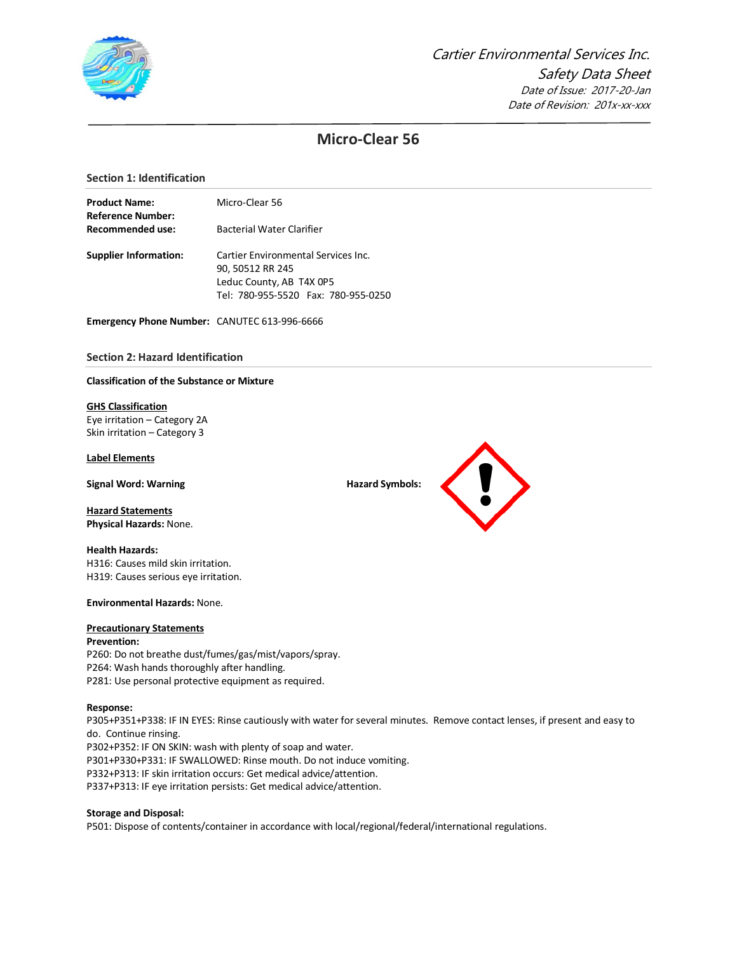

# **Micro-Clear 56**

# **Section 1: Identification**

| <b>Product Name:</b>         | Micro-Clear 56                      |  |  |  |  |
|------------------------------|-------------------------------------|--|--|--|--|
| Reference Number:            |                                     |  |  |  |  |
| Recommended use:             | <b>Bacterial Water Clarifier</b>    |  |  |  |  |
| <b>Supplier Information:</b> | Cartier Environmental Services Inc. |  |  |  |  |
|                              | 90, 50512 RR 245                    |  |  |  |  |
|                              | Leduc County, AB T4X 0P5            |  |  |  |  |
|                              | Tel: 780-955-5520 Fax: 780-955-0250 |  |  |  |  |

**Emergency Phone Number:** CANUTEC 613-996-6666

# **Section 2: Hazard Identification**

#### **Classification of the Substance or Mixture**

#### **GHS Classification**

Eye irritation – Category 2A Skin irritation – Category 3

# **Label Elements**

**Signal Word: Warning Hazard Symbols: Hazard Symbols: Hazard Symbols: Hazard Symbols: Hazard Symbols: Hazard Symbols: Hazard Symbols: Hazard Symbols: Hazard Symbols: Hazard Symbols: Hazard Symbo** 

**Hazard Statements Physical Hazards:** None.

# **Health Hazards:** H316: Causes mild skin irritation.

H319: Causes serious eye irritation.

#### **Environmental Hazards:** None.

# **Precautionary Statements**

# **Prevention:** P260: Do not breathe dust/fumes/gas/mist/vapors/spray.

P264: Wash hands thoroughly after handling. P281: Use personal protective equipment as required.

#### **Response:**

P305+P351+P338: IF IN EYES: Rinse cautiously with water for several minutes. Remove contact lenses, if present and easy to do. Continue rinsing.

P302+P352: IF ON SKIN: wash with plenty of soap and water. P301+P330+P331: IF SWALLOWED: Rinse mouth. Do not induce vomiting. P332+P313: IF skin irritation occurs: Get medical advice/attention. P337+P313: IF eye irritation persists: Get medical advice/attention.

# **Storage and Disposal:**

P501: Dispose of contents/container in accordance with local/regional/federal/international regulations.

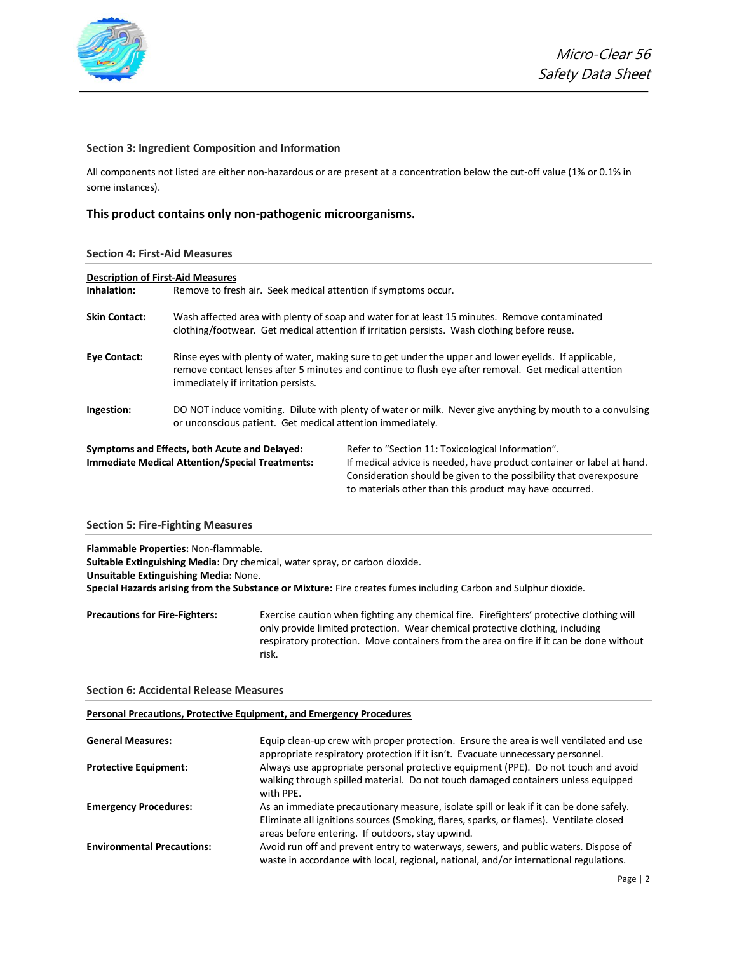

# **Section 3: Ingredient Composition and Information**

All components not listed are either non-hazardous or are present at a concentration below the cut-off value (1% or 0.1% in some instances).

# **This product contains only non-pathogenic microorganisms.**

#### **Section 4: First-Aid Measures**

| <b>Description of First-Aid Measures</b> |                                                                                                                                                                                               |                                                                                                                                                                                                                                                             |  |
|------------------------------------------|-----------------------------------------------------------------------------------------------------------------------------------------------------------------------------------------------|-------------------------------------------------------------------------------------------------------------------------------------------------------------------------------------------------------------------------------------------------------------|--|
| Inhalation:                              | Remove to fresh air. Seek medical attention if symptoms occur.                                                                                                                                |                                                                                                                                                                                                                                                             |  |
| <b>Skin Contact:</b>                     | Wash affected area with plenty of soap and water for at least 15 minutes. Remove contaminated<br>clothing/footwear. Get medical attention if irritation persists. Wash clothing before reuse. |                                                                                                                                                                                                                                                             |  |
| <b>Eye Contact:</b>                      | immediately if irritation persists.                                                                                                                                                           | Rinse eyes with plenty of water, making sure to get under the upper and lower eyelids. If applicable,<br>remove contact lenses after 5 minutes and continue to flush eye after removal. Get medical attention                                               |  |
| Ingestion:                               | or unconscious patient. Get medical attention immediately.                                                                                                                                    | DO NOT induce vomiting. Dilute with plenty of water or milk. Never give anything by mouth to a convulsing                                                                                                                                                   |  |
|                                          | Symptoms and Effects, both Acute and Delayed:<br><b>Immediate Medical Attention/Special Treatments:</b>                                                                                       | Refer to "Section 11: Toxicological Information".<br>If medical advice is needed, have product container or label at hand.<br>Consideration should be given to the possibility that overexposure<br>to materials other than this product may have occurred. |  |

#### **Section 5: Fire-Fighting Measures**

**Flammable Properties:** Non-flammable.

**Suitable Extinguishing Media:** Dry chemical, water spray, or carbon dioxide. **Unsuitable Extinguishing Media:** None. **Special Hazards arising from the Substance or Mixture:** Fire creates fumes including Carbon and Sulphur dioxide.

**Precautions for Fire-Fighters:** Exercise caution when fighting any chemical fire. Firefighters' protective clothing will only provide limited protection. Wear chemical protective clothing, including respiratory protection. Move containers from the area on fire if it can be done without risk.

#### **Section 6: Accidental Release Measures**

#### **Personal Precautions, Protective Equipment, and Emergency Procedures**

| <b>General Measures:</b>          | Equip clean-up crew with proper protection. Ensure the area is well ventilated and use<br>appropriate respiratory protection if it isn't. Evacuate unnecessary personnel.                                                            |
|-----------------------------------|--------------------------------------------------------------------------------------------------------------------------------------------------------------------------------------------------------------------------------------|
| <b>Protective Equipment:</b>      | Always use appropriate personal protective equipment (PPE). Do not touch and avoid<br>walking through spilled material. Do not touch damaged containers unless equipped<br>with PPE.                                                 |
| <b>Emergency Procedures:</b>      | As an immediate precautionary measure, isolate spill or leak if it can be done safely.<br>Eliminate all ignitions sources (Smoking, flares, sparks, or flames). Ventilate closed<br>areas before entering. If outdoors, stay upwind. |
| <b>Environmental Precautions:</b> | Avoid run off and prevent entry to waterways, sewers, and public waters. Dispose of<br>waste in accordance with local, regional, national, and/or international regulations.                                                         |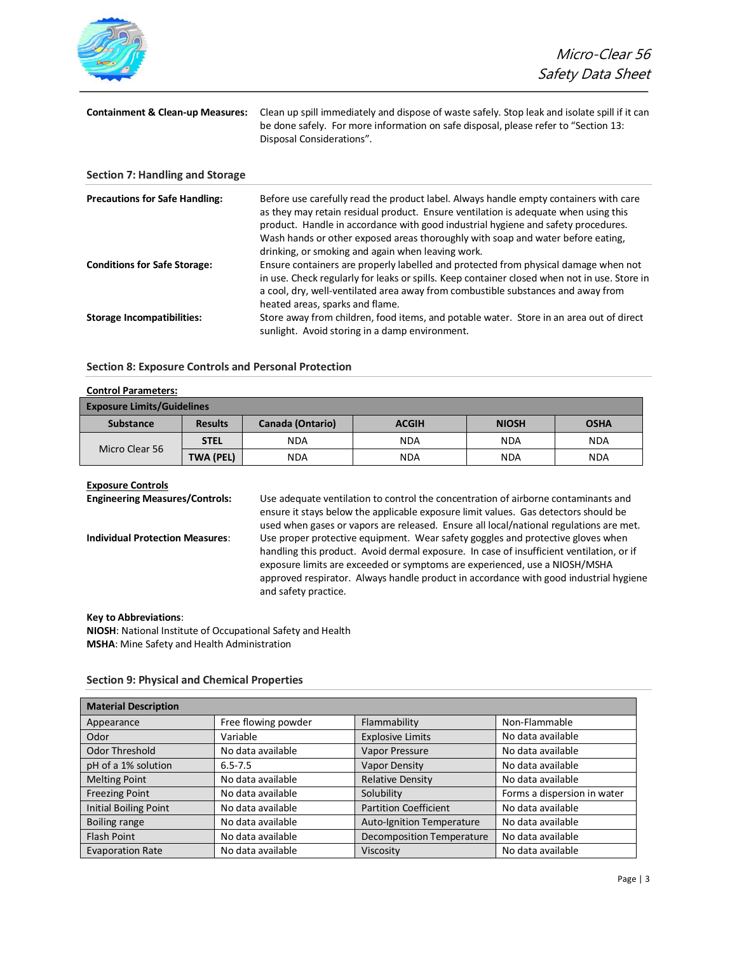

| <b>Containment &amp; Clean-up Measures:</b> | Clean up spill immediately and dispose of waste safely. Stop leak and isolate spill if it can<br>be done safely. For more information on safe disposal, please refer to "Section 13:<br>Disposal Considerations".                                                                                                                                                                                         |  |  |  |
|---------------------------------------------|-----------------------------------------------------------------------------------------------------------------------------------------------------------------------------------------------------------------------------------------------------------------------------------------------------------------------------------------------------------------------------------------------------------|--|--|--|
| Section 7: Handling and Storage             |                                                                                                                                                                                                                                                                                                                                                                                                           |  |  |  |
| <b>Precautions for Safe Handling:</b>       | Before use carefully read the product label. Always handle empty containers with care<br>as they may retain residual product. Ensure ventilation is adequate when using this<br>product. Handle in accordance with good industrial hygiene and safety procedures.<br>Wash hands or other exposed areas thoroughly with soap and water before eating.<br>drinking, or smoking and again when leaving work. |  |  |  |

**Conditions for Safe Storage:** Ensure containers are properly labelled and protected from physical damage when not in use. Check regularly for leaks or spills. Keep container closed when not in use. Store in a cool, dry, well-ventilated area away from combustible substances and away from heated areas, sparks and flame. **Storage Incompatibilities:** Store away from children, food items, and potable water. Store in an area out of direct

# **Section 8: Exposure Controls and Personal Protection**

| <b>Control Parameters:</b>        |                  |                         |              |              |             |
|-----------------------------------|------------------|-------------------------|--------------|--------------|-------------|
| <b>Exposure Limits/Guidelines</b> |                  |                         |              |              |             |
| <b>Substance</b>                  | <b>Results</b>   | <b>Canada (Ontario)</b> | <b>ACGIH</b> | <b>NIOSH</b> | <b>OSHA</b> |
|                                   | <b>STEL</b>      | <b>NDA</b>              | <b>NDA</b>   | <b>NDA</b>   | <b>NDA</b>  |
| Micro Clear 56                    | <b>TWA (PEL)</b> | <b>NDA</b>              | <b>NDA</b>   | <b>NDA</b>   | <b>NDA</b>  |

sunlight. Avoid storing in a damp environment.

#### **Exposure Controls**

**Engineering Measures/Controls:** Use adequate ventilation to control the concentration of airborne contaminants and ensure it stays below the applicable exposure limit values. Gas detectors should be used when gases or vapors are released. Ensure all local/national regulations are met. **Individual Protection Measures**: Use proper protective equipment. Wear safety goggles and protective gloves when handling this product. Avoid dermal exposure. In case of insufficient ventilation, or if exposure limits are exceeded or symptoms are experienced, use a NIOSH/MSHA approved respirator. Always handle product in accordance with good industrial hygiene and safety practice.

#### **Key to Abbreviations**:

**NIOSH**: National Institute of Occupational Safety and Health **MSHA**: Mine Safety and Health Administration

#### **Section 9: Physical and Chemical Properties**

| <b>Material Description</b>  |                     |                                  |                             |
|------------------------------|---------------------|----------------------------------|-----------------------------|
| Appearance                   | Free flowing powder | Flammability                     | Non-Flammable               |
| Odor                         | Variable            | <b>Explosive Limits</b>          | No data available           |
| <b>Odor Threshold</b>        | No data available   | Vapor Pressure                   | No data available           |
| pH of a 1% solution          | $6.5 - 7.5$         | <b>Vapor Density</b>             | No data available           |
| <b>Melting Point</b>         | No data available   | <b>Relative Density</b>          | No data available           |
| <b>Freezing Point</b>        | No data available   | Solubility                       | Forms a dispersion in water |
| <b>Initial Boiling Point</b> | No data available   | <b>Partition Coefficient</b>     | No data available           |
| <b>Boiling range</b>         | No data available   | Auto-Ignition Temperature        | No data available           |
| <b>Flash Point</b>           | No data available   | <b>Decomposition Temperature</b> | No data available           |
| <b>Evaporation Rate</b>      | No data available   | Viscosity                        | No data available           |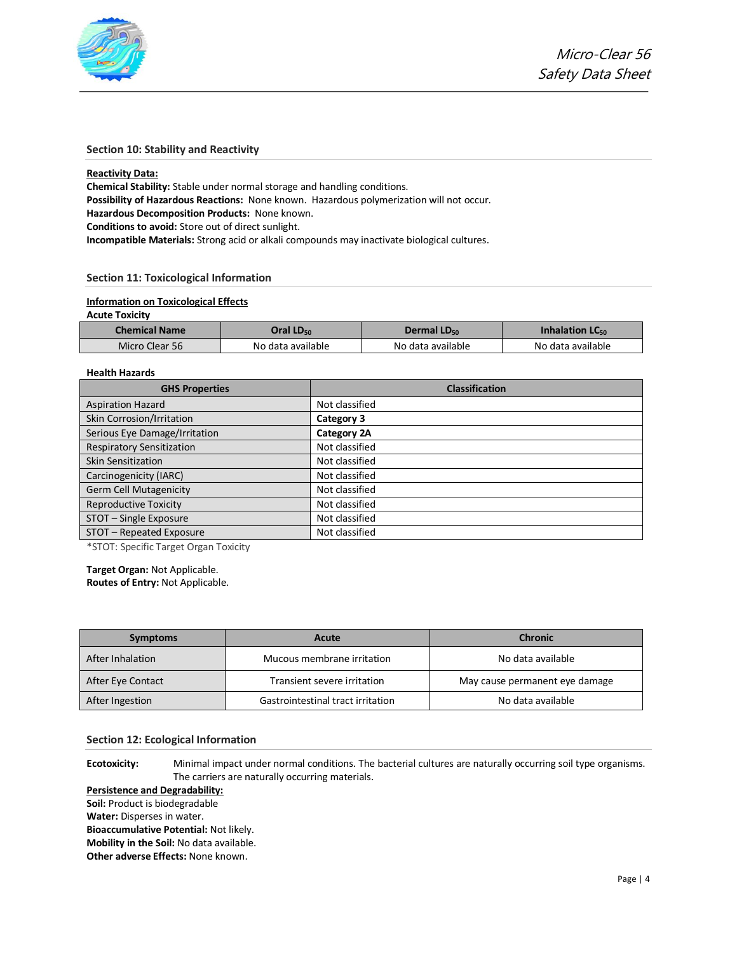

# **Section 10: Stability and Reactivity**

#### **Reactivity Data:**

**Chemical Stability:** Stable under normal storage and handling conditions. **Possibility of Hazardous Reactions:** None known. Hazardous polymerization will not occur. **Hazardous Decomposition Products:** None known. **Conditions to avoid:** Store out of direct sunlight.

**Incompatible Materials:** Strong acid or alkali compounds may inactivate biological cultures.

# **Section 11: Toxicological Information**

# **Information on Toxicological Effects**

### **Acute Toxicity**

| <b>Chemical Name</b> | Oral LD <sub>50</sub> | Dermal $LD_{50}$  | Inhalation $LC_{50}$ |  |
|----------------------|-----------------------|-------------------|----------------------|--|
| Micro Clear 56       | No data available     | No data available | No data available    |  |

# **Health Hazards**

| <b>GHS Properties</b>            | <b>Classification</b> |
|----------------------------------|-----------------------|
| <b>Aspiration Hazard</b>         | Not classified        |
| Skin Corrosion/Irritation        | Category 3            |
| Serious Eye Damage/Irritation    | Category 2A           |
| <b>Respiratory Sensitization</b> | Not classified        |
| Skin Sensitization               | Not classified        |
| Carcinogenicity (IARC)           | Not classified        |
| Germ Cell Mutagenicity           | Not classified        |
| <b>Reproductive Toxicity</b>     | Not classified        |
| STOT - Single Exposure           | Not classified        |
| STOT - Repeated Exposure         | Not classified        |

\*STOT: Specific Target Organ Toxicity

**Target Organ:** Not Applicable. **Routes of Entry:** Not Applicable.

| <b>Symptoms</b>   | Acute                             | <b>Chronic</b>                 |
|-------------------|-----------------------------------|--------------------------------|
| After Inhalation  | Mucous membrane irritation        | No data available              |
| After Eye Contact | Transient severe irritation       | May cause permanent eye damage |
| After Ingestion   | Gastrointestinal tract irritation | No data available              |

### **Section 12: Ecological Information**

**Ecotoxicity:** Minimal impact under normal conditions. The bacterial cultures are naturally occurring soil type organisms. The carriers are naturally occurring materials.

# **Persistence and Degradability:**

**Soil:** Product is biodegradable

**Water:** Disperses in water.

**Bioaccumulative Potential:** Not likely.

**Mobility in the Soil:** No data available.

**Other adverse Effects:** None known.